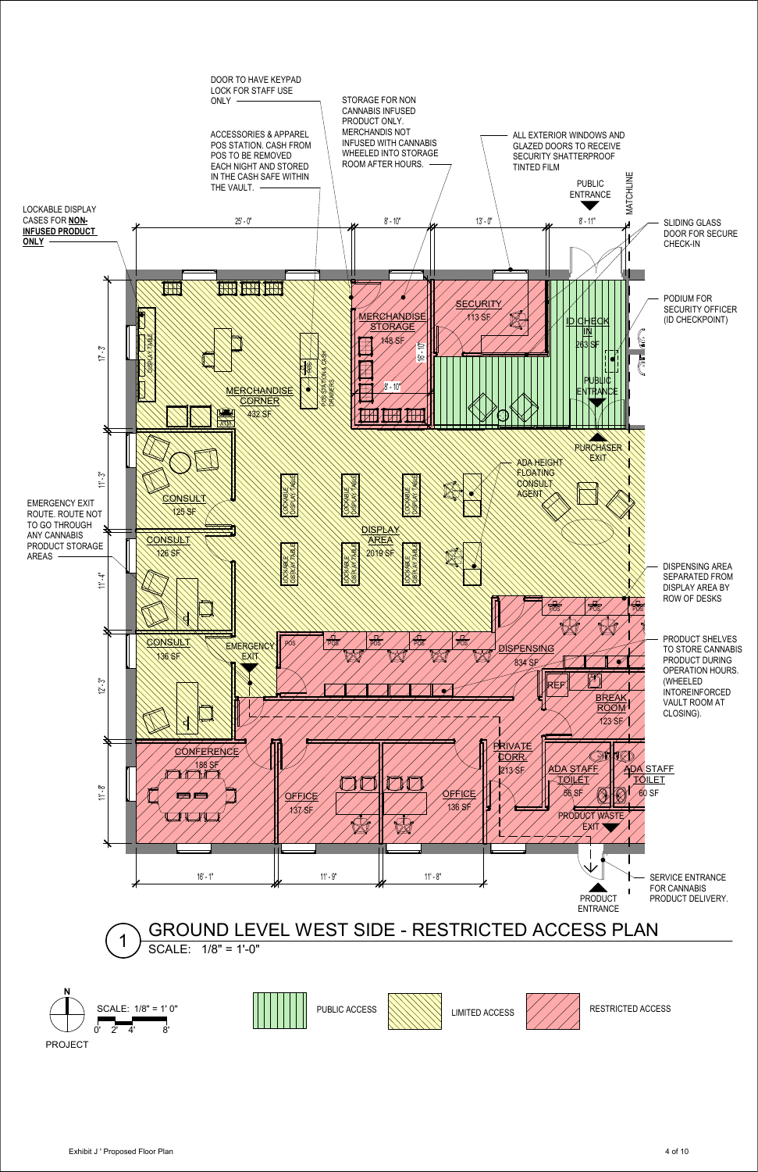



Exhibit J ' Proposed Floor Plan 4 of 10